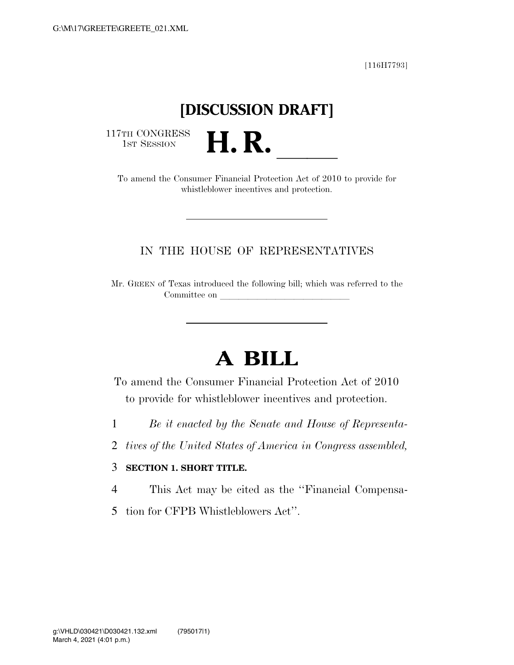[116H7793]

## **[DISCUSSION DRAFT]**

117TH CONGRESS<br>1st Session

TTH CONGRESS<br>
1ST SESSION<br>
To amend the Consumer Financial Protection Act of 2010 to provide for whistleblower incentives and protection.

## IN THE HOUSE OF REPRESENTATIVES

Mr. GREEN of Texas introduced the following bill; which was referred to the Committee on

## **A BILL**

To amend the Consumer Financial Protection Act of 2010 to provide for whistleblower incentives and protection.

- 1 *Be it enacted by the Senate and House of Representa-*
- 2 *tives of the United States of America in Congress assembled,*

## 3 **SECTION 1. SHORT TITLE.**

- 4 This Act may be cited as the ''Financial Compensa-
- 5 tion for CFPB Whistleblowers Act''.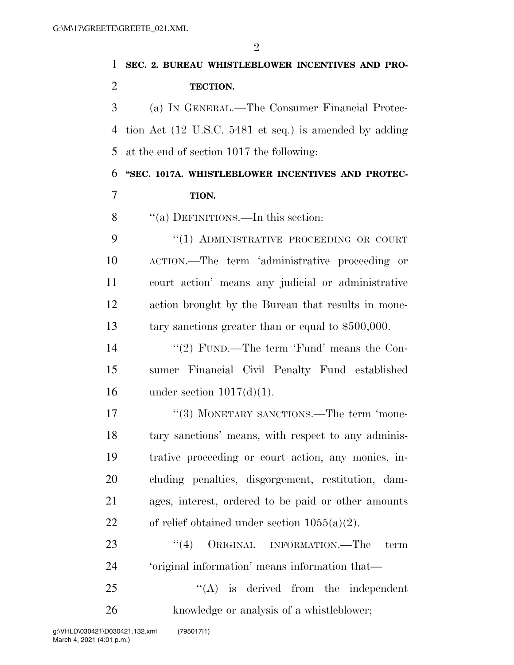| 1              | SEC. 2. BUREAU WHISTLEBLOWER INCENTIVES AND PRO-       |  |
|----------------|--------------------------------------------------------|--|
| $\overline{2}$ | <b>TECTION.</b>                                        |  |
| 3              | (a) IN GENERAL.—The Consumer Financial Protec-         |  |
| 4              | tion Act (12 U.S.C. 5481 et seq.) is amended by adding |  |
| 5              | at the end of section 1017 the following:              |  |
| 6              | "SEC. 1017A. WHISTLEBLOWER INCENTIVES AND PROTEC-      |  |
| 7              | TION.                                                  |  |
| 8              | "(a) DEFINITIONS.—In this section:                     |  |
| 9              | "(1) ADMINISTRATIVE PROCEEDING OR COURT                |  |
| 10             | ACTION.—The term 'administrative proceeding or         |  |
| 11             | court action' means any judicial or administrative     |  |
| 12             | action brought by the Bureau that results in mone-     |  |
| 13             | tary sanctions greater than or equal to $$500,000$ .   |  |
| 14             | "(2) FUND.—The term 'Fund' means the Con-              |  |
| 15             | sumer Financial Civil Penalty Fund established         |  |
| 16             | under section $1017(d)(1)$ .                           |  |
| 17             | "(3) MONETARY SANCTIONS.—The term 'mone-               |  |
| 18             | tary sanctions' means, with respect to any adminis-    |  |
| 19             | trative proceeding or court action, any monies, in-    |  |
| 20             | cluding penalties, disgorgement, restitution, dam-     |  |
| 21             | ages, interest, ordered to be paid or other amounts    |  |
| 22             | of relief obtained under section $1055(a)(2)$ .        |  |
| 23             | ``(4)<br>ORIGINAL INFORMATION.—The<br>term             |  |
| 24             | 'original information' means information that—         |  |
| 25             | $\lq\lq$ is derived from the independent               |  |
| 26             | knowledge or analysis of a whistleblower;              |  |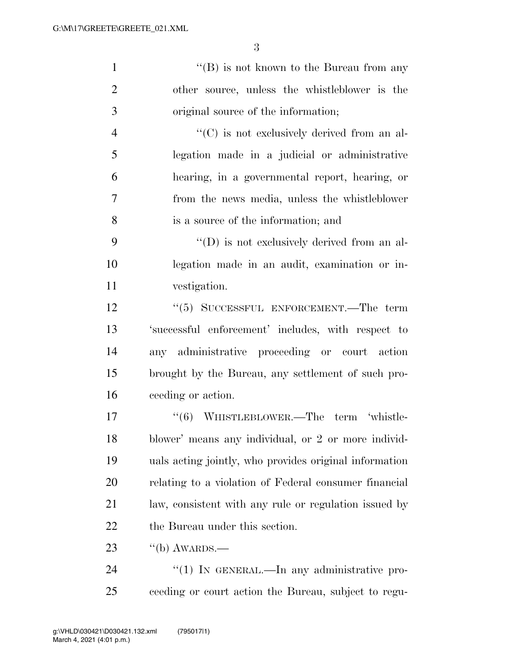1 ''(B) is not known to the Bureau from any other source, unless the whistleblower is the original source of the information;  $"({\rm C})$  is not exclusively derived from an al- legation made in a judicial or administrative hearing, in a governmental report, hearing, or from the news media, unless the whistleblower is a source of the information; and 9 ''(D) is not exclusively derived from an al- legation made in an audit, examination or in- vestigation. 12 ''(5) SUCCESSFUL ENFORCEMENT.—The term

 'successful enforcement' includes, with respect to any administrative proceeding or court action brought by the Bureau, any settlement of such pro-ceeding or action.

17 "(6) WHISTLEBLOWER.—The term 'whistle- blower' means any individual, or 2 or more individ- uals acting jointly, who provides original information relating to a violation of Federal consumer financial law, consistent with any rule or regulation issued by the Bureau under this section.

23  $\frac{1}{10}$   $\frac{1}{2}$   $\frac{1}{2}$   $\frac{1}{2}$   $\frac{1}{2}$   $\frac{1}{2}$   $\frac{1}{2}$   $\frac{1}{2}$   $\frac{1}{2}$   $\frac{1}{2}$   $\frac{1}{2}$   $\frac{1}{2}$   $\frac{1}{2}$   $\frac{1}{2}$   $\frac{1}{2}$   $\frac{1}{2}$   $\frac{1}{2}$   $\frac{1}{2}$   $\frac{1}{2}$   $\frac{1}{2}$   $\frac{1}{2}$   $\frac{1}{2$ 

24 "(1) IN GENERAL.—In any administrative pro-ceeding or court action the Bureau, subject to regu-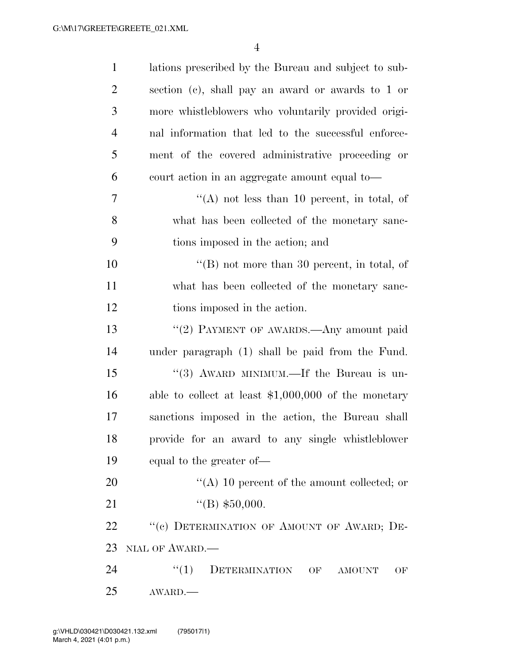| $\mathbf{1}$   | lations prescribed by the Bureau and subject to sub-  |  |
|----------------|-------------------------------------------------------|--|
| $\overline{2}$ | section (c), shall pay an award or awards to 1 or     |  |
| 3              | more whistleblowers who voluntarily provided origi-   |  |
| $\overline{4}$ | nal information that led to the successful enforce-   |  |
| 5              | ment of the covered administrative proceeding or      |  |
| 6              | court action in an aggregate amount equal to-         |  |
| 7              | $\lq\lq$ not less than 10 percent, in total, of       |  |
| 8              | what has been collected of the monetary sanc-         |  |
| 9              | tions imposed in the action; and                      |  |
| 10             | "(B) not more than 30 percent, in total, of           |  |
| 11             | what has been collected of the monetary sanc-         |  |
| 12             | tions imposed in the action.                          |  |
| 13             | "(2) PAYMENT OF AWARDS.—Any amount paid               |  |
| 14             | under paragraph (1) shall be paid from the Fund.      |  |
| 15             | "(3) AWARD MINIMUM.—If the Bureau is un-              |  |
| 16             | able to collect at least $$1,000,000$ of the monetary |  |
| $17\,$         | sanctions imposed in the action, the Bureau shall     |  |
| 18             | provide for an award to any single whistleblower      |  |
| 19             | equal to the greater of—                              |  |
| 20             | "(A) 10 percent of the amount collected; or           |  |
| 21             | "(B) $$50,000.$                                       |  |
| 22             | "(c) DETERMINATION OF AMOUNT OF AWARD; DE-            |  |
| 23             | NIAL OF AWARD.                                        |  |
| 24             | ``(1)<br>DETERMINATION<br>OF<br><b>AMOUNT</b><br>OF   |  |
| 25             | AWARD.                                                |  |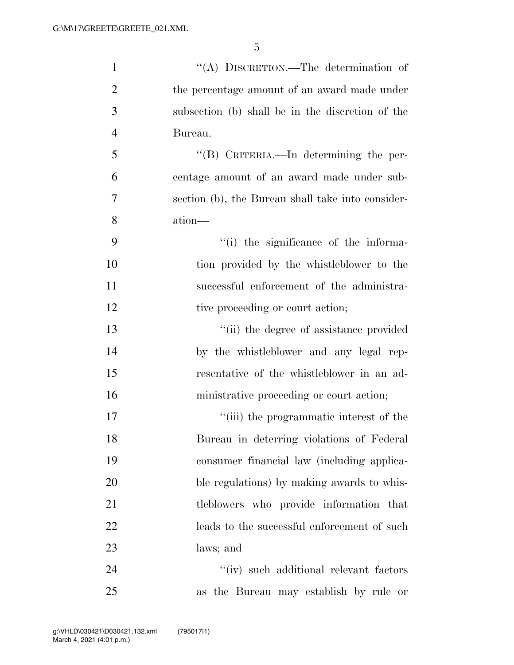| $\mathbf{1}$   | "(A) DISCRETION.—The determination of             |
|----------------|---------------------------------------------------|
| $\overline{2}$ | the percentage amount of an award made under      |
| 3              | subsection (b) shall be in the discretion of the  |
| $\overline{4}$ | Bureau.                                           |
| 5              | "(B) CRITERIA.—In determining the per-            |
| 6              | centage amount of an award made under sub-        |
| 7              | section (b), the Bureau shall take into consider- |
| 8              | ation—                                            |
| 9              | "(i) the significance of the informa-             |
| 10             | tion provided by the whistleblower to the         |
| 11             | successful enforcement of the administra-         |
| 12             | tive proceeding or court action;                  |
| 13             | "(ii) the degree of assistance provided           |
| 14             | by the whistleblower and any legal rep-           |
| 15             | resentative of the whistleblower in an ad-        |
| 16             | ministrative proceeding or court action;          |
| 17             | "(iii) the programmatic interest of the           |
| 18             | Bureau in deterring violations of Federal         |
| 19             | consumer financial law (including applica-        |
| 20             | ble regulations) by making awards to whis-        |
| 21             | tleblowers who provide information that           |
| 22             | leads to the successful enforcement of such       |
| 23             | laws; and                                         |
| 24             | "(iv) such additional relevant factors"           |
| 25             | as the Bureau may establish by rule or            |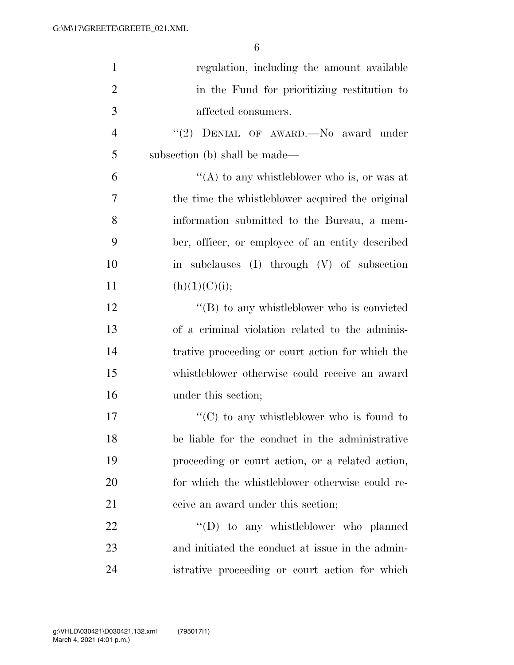| $\mathbf{1}$   | regulation, including the amount available         |
|----------------|----------------------------------------------------|
| $\overline{2}$ | in the Fund for prioritizing restitution to        |
| 3              | affected consumers.                                |
| $\overline{4}$ | "(2) DENIAL OF AWARD. No award under               |
| 5              | subsection (b) shall be made—                      |
| 6              | "(A) to any whistleblower who is, or was at        |
| 7              | the time the whistleblower acquired the original   |
| 8              | information submitted to the Bureau, a mem-        |
| 9              | ber, officer, or employee of an entity described   |
| 10             | in subclauses (I) through (V) of subsection        |
| 11             | (h)(1)(C)(i);                                      |
| 12             | $\lq\lq (B)$ to any whistleblower who is convicted |
| 13             | of a criminal violation related to the adminis-    |
| 14             | trative proceeding or court action for which the   |
| 15             | whistleblower otherwise could receive an award     |
| 16             | under this section;                                |
| 17             | $\lq\lq$ (C) to any whistleblower who is found to  |
| 18             | be liable for the conduct in the administrative    |
| 19             | proceeding or court action, or a related action,   |
| 20             | for which the whistleblower otherwise could re-    |
| 21             | ceive an award under this section;                 |
| 22             | $\lq\lq$ to any whistleblower who planned          |
| 23             | and initiated the conduct at issue in the admin-   |
| 24             | istrative proceeding or court action for which     |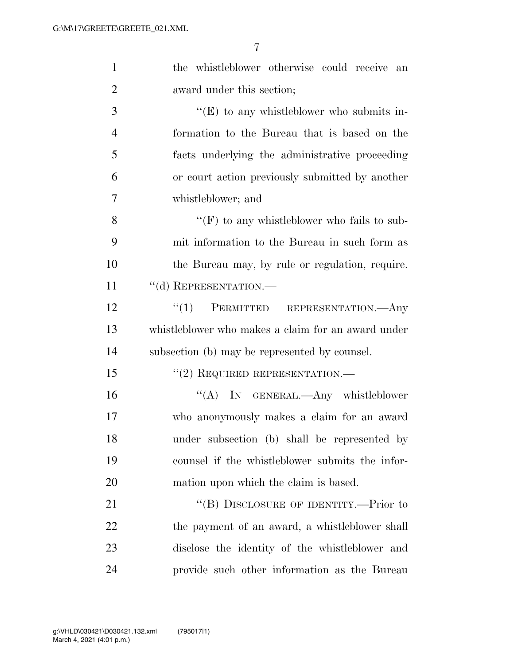| $\mathbf{1}$   | the whistleblower otherwise could receive an       |
|----------------|----------------------------------------------------|
| $\overline{2}$ | award under this section;                          |
| 3              | $\lq\lq(E)$ to any whistleblower who submits in-   |
| $\overline{4}$ | formation to the Bureau that is based on the       |
| 5              | facts underlying the administrative proceeding     |
| 6              | or court action previously submitted by another    |
| 7              | whistleblower; and                                 |
| 8              | "(F) to any whistleblower who fails to sub-        |
| 9              | mit information to the Bureau in such form as      |
| 10             | the Bureau may, by rule or regulation, require.    |
| 11             | "(d) REPRESENTATION.-                              |
| 12             | "(1) PERMITTED REPRESENTATION.—Any                 |
| 13             | whistleblower who makes a claim for an award under |
| 14             | subsection (b) may be represented by counsel.      |
| 15             | $"(2)$ REQUIRED REPRESENTATION.—                   |
| 16             | "(A) IN GENERAL.—Any whistleblower                 |
| 17             | who anonymously makes a claim for an award         |
| 18             | under subsection (b) shall be represented by       |
| 19             | counsel if the whistleblower submits the infor-    |
| 20             | mation upon which the claim is based.              |
| 21             | "(B) DISCLOSURE OF IDENTITY.—Prior to              |
| 22             | the payment of an award, a whistleblower shall     |
| 23             | disclose the identity of the whistleblower and     |
| 24             | provide such other information as the Bureau       |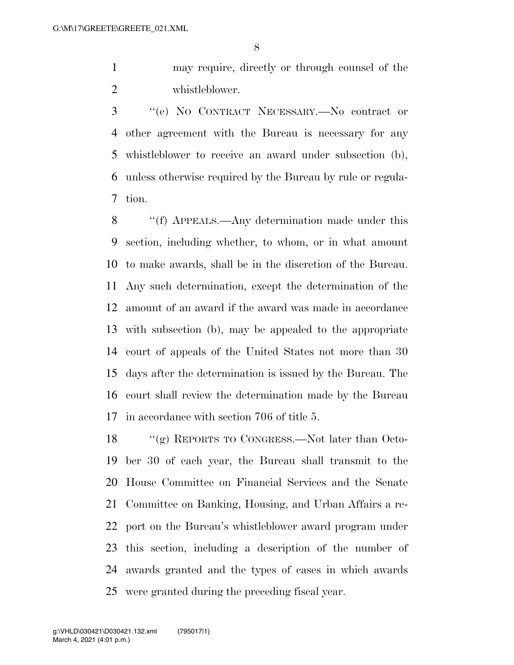may require, directly or through counsel of the whistleblower.

 ''(e) NO CONTRACT NECESSARY.—No contract or other agreement with the Bureau is necessary for any whistleblower to receive an award under subsection (b), unless otherwise required by the Bureau by rule or regula-tion.

 ''(f) APPEALS.—Any determination made under this section, including whether, to whom, or in what amount to make awards, shall be in the discretion of the Bureau. Any such determination, except the determination of the amount of an award if the award was made in accordance with subsection (b), may be appealed to the appropriate court of appeals of the United States not more than 30 days after the determination is issued by the Bureau. The court shall review the determination made by the Bureau in accordance with section 706 of title 5.

 ''(g) REPORTS TO CONGRESS.—Not later than Octo- ber 30 of each year, the Bureau shall transmit to the House Committee on Financial Services and the Senate Committee on Banking, Housing, and Urban Affairs a re- port on the Bureau's whistleblower award program under this section, including a description of the number of awards granted and the types of cases in which awards were granted during the preceding fiscal year.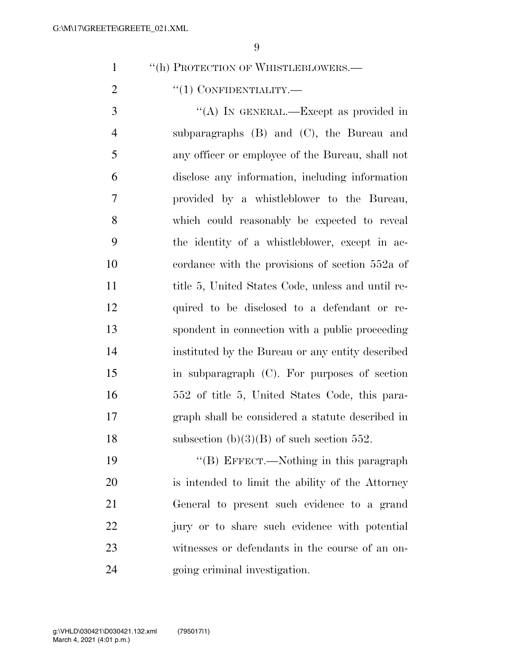1 "(h) PROTECTION OF WHISTLEBLOWERS.—

2  $\text{``(1) CONFIDENTIALITY.}$ 

3 "(A) IN GENERAL.—Except as provided in subparagraphs (B) and (C), the Bureau and any officer or employee of the Bureau, shall not disclose any information, including information provided by a whistleblower to the Bureau, which could reasonably be expected to reveal the identity of a whistleblower, except in ac- cordance with the provisions of section 552a of 11 title 5, United States Code, unless and until re- quired to be disclosed to a defendant or re- spondent in connection with a public proceeding instituted by the Bureau or any entity described in subparagraph (C). For purposes of section 552 of title 5, United States Code, this para- graph shall be considered a statute described in 18 subsection  $(b)(3)(B)$  of such section 552.

19 "'(B) EFFECT.—Nothing in this paragraph is intended to limit the ability of the Attorney General to present such evidence to a grand jury or to share such evidence with potential witnesses or defendants in the course of an on-going criminal investigation.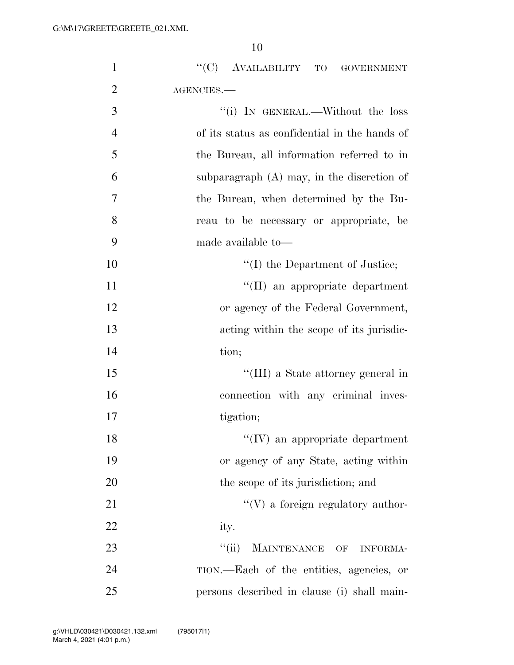| $\mathbf{1}$   | $\lq\lq (C)$ AVAILABILITY TO GOVERNMENT                                   |
|----------------|---------------------------------------------------------------------------|
| $\overline{2}$ | AGENCIES.-                                                                |
| $\mathfrak{Z}$ | "(i) IN GENERAL.—Without the loss                                         |
| $\overline{4}$ | of its status as confidential in the hands of                             |
| 5              | the Bureau, all information referred to in                                |
| 6              | subparagraph $(A)$ may, in the discretion of                              |
| 7              | the Bureau, when determined by the Bu-                                    |
| 8              | reau to be necessary or appropriate, be                                   |
| 9              | made available to-                                                        |
| 10             | "(I) the Department of Justice;                                           |
| 11             | "(II) an appropriate department                                           |
| 12             | or agency of the Federal Government,                                      |
| 13             | acting within the scope of its jurisdic-                                  |
| 14             | tion;                                                                     |
| 15             | "(III) a State attorney general in                                        |
| 16             | connection with any criminal inves-                                       |
| 17             | tigation;                                                                 |
| 18             | $\lq\lq$ (IV) an appropriate department                                   |
| 19             | or agency of any State, acting within                                     |
| 20             | the scope of its jurisdiction; and                                        |
| 21             | $\lq\lq(V)$ a foreign regulatory author-                                  |
| 22             | ity.                                                                      |
| 23             | $\lq\lq$ (ii)<br>MAINTENANCE<br>$\overline{\text{OF}}$<br><b>INFORMA-</b> |
| 24             | TION.—Each of the entities, agencies, or                                  |
| 25             | persons described in clause (i) shall main-                               |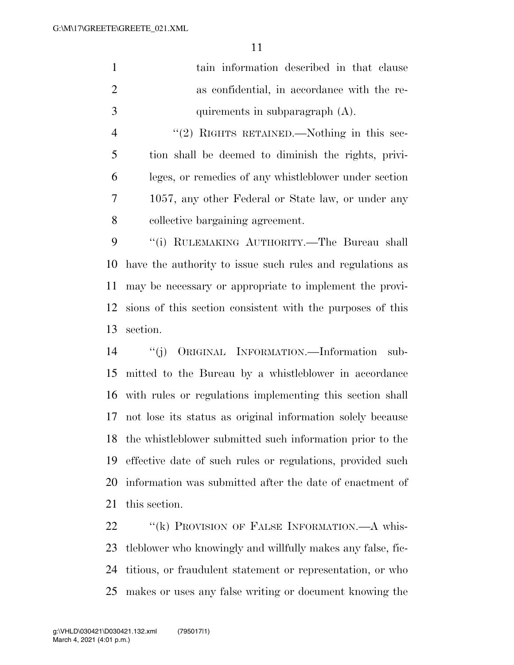|               | tain information described in that clause   |
|---------------|---------------------------------------------|
|               | as confidential, in accordance with the re- |
| $\mathcal{R}$ | quirements in subparagraph $(A)$ .          |

4 "(2) RIGHTS RETAINED.—Nothing in this sec- tion shall be deemed to diminish the rights, privi- leges, or remedies of any whistleblower under section 1057, any other Federal or State law, or under any collective bargaining agreement.

 ''(i) RULEMAKING AUTHORITY.—The Bureau shall have the authority to issue such rules and regulations as may be necessary or appropriate to implement the provi- sions of this section consistent with the purposes of this section.

 ''(j) ORIGINAL INFORMATION.—Information sub- mitted to the Bureau by a whistleblower in accordance with rules or regulations implementing this section shall not lose its status as original information solely because the whistleblower submitted such information prior to the effective date of such rules or regulations, provided such information was submitted after the date of enactment of this section.

22 "(k) PROVISION OF FALSE INFORMATION.—A whis- tleblower who knowingly and willfully makes any false, fic- titious, or fraudulent statement or representation, or who makes or uses any false writing or document knowing the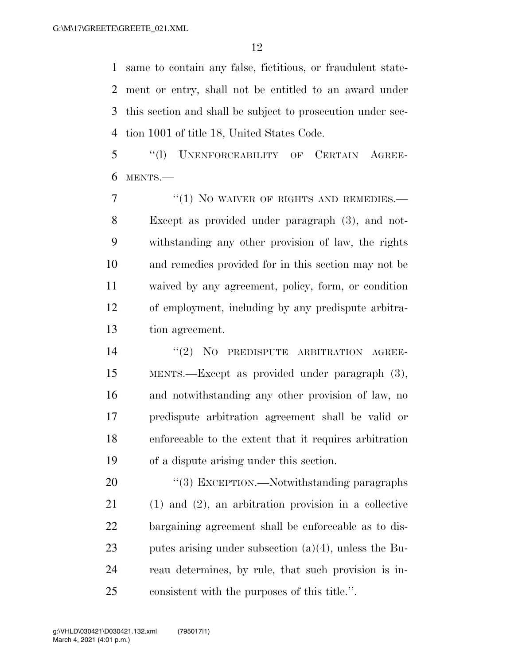same to contain any false, fictitious, or fraudulent state- ment or entry, shall not be entitled to an award under this section and shall be subject to prosecution under sec-tion 1001 of title 18, United States Code.

 ''(l) UNENFORCEABILITY OF CERTAIN AGREE-MENTS.—

7 "(1) NO WAIVER OF RIGHTS AND REMEDIES.— Except as provided under paragraph (3), and not- withstanding any other provision of law, the rights and remedies provided for in this section may not be waived by any agreement, policy, form, or condition of employment, including by any predispute arbitra-tion agreement.

14 "(2) NO PREDISPUTE ARBITRATION AGREE- MENTS.—Except as provided under paragraph (3), and notwithstanding any other provision of law, no predispute arbitration agreement shall be valid or enforceable to the extent that it requires arbitration of a dispute arising under this section.

20 "(3) EXCEPTION.—Notwithstanding paragraphs (1) and (2), an arbitration provision in a collective bargaining agreement shall be enforceable as to dis- putes arising under subsection (a)(4), unless the Bu- reau determines, by rule, that such provision is in-consistent with the purposes of this title.''.